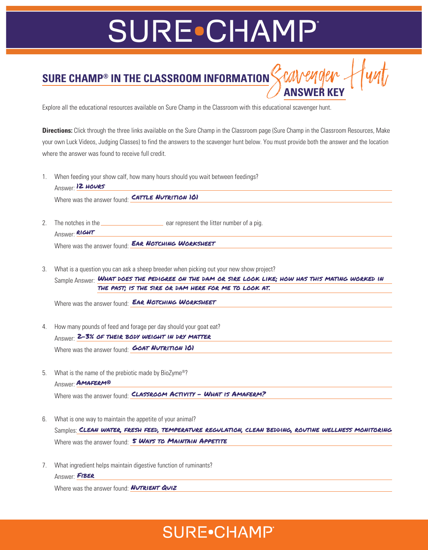# **SURE•CHAMP**

### **SURE CHAMP® IN THE CLASSROOM INFORMATION** SCAVENOEN **ANSWER KEY**

Explore all the educational resources available on Sure Champ in the Classroom with this educational scavenger hunt.

**Directions:** Click through the three links available on the Sure Champ in the Classroom page (Sure Champ in the Classroom Resources, Make your own Luck Videos, Judging Classes) to find the answers to the scavenger hunt below. You must provide both the answer and the location where the answer was found to receive full credit.

1. When feeding your show calf, how many hours should you wait between feedings? Answer: <mark>12 HOURS</mark>

Where was the answer found: CATTLE NUTRITION 101

- 2. The notches in the **example 2** car represent the litter number of a pig. Answer: **RIGHT** Where was the answer found: **EAR NOTCHING WORKSHEET**
- 3. What is a question you can ask a sheep breeder when picking out your new show project? Sample Answer: <mark>WHAT DOES THE PEDIGREE ON THE DAM OR SIRE LOOK LIKE; HOW HAS THIS MATING WORKED IN</mark> the past; is the sire or dam here for me to look at.

Where was the answer found: **EAR NOTCHING WORKSHEET** 

4. How many pounds of feed and forage per day should your goat eat? Answer: <mark>2-3% of their body weight in dry matter</mark> Where was the answer found: **GOAT NUTRITION 161** 

- 5. What is the name of the prebiotic made by BioZyme®? Answer: **AMAFERM®** Where was the answer found: CLASSROOM ACTIVITY - WHAT IS AMAFERM?
- 6. What is one way to maintain the appetite of your animal? Samples: <mark>CLEAN WATER, FRESH FEED, TEMPERATURE REGULATION, CLEAN BEDDING, ROUTINE WELLNESS MONITORING</mark> Where was the answer found: S WAYS TO MAINTAIN APPETITE
- 7. What ingredient helps maintain digestive function of ruminants? Answer: FIBER

Where was the answer found: **NUTRIENT QUIZ** 

#### **SURE**.CHAMP